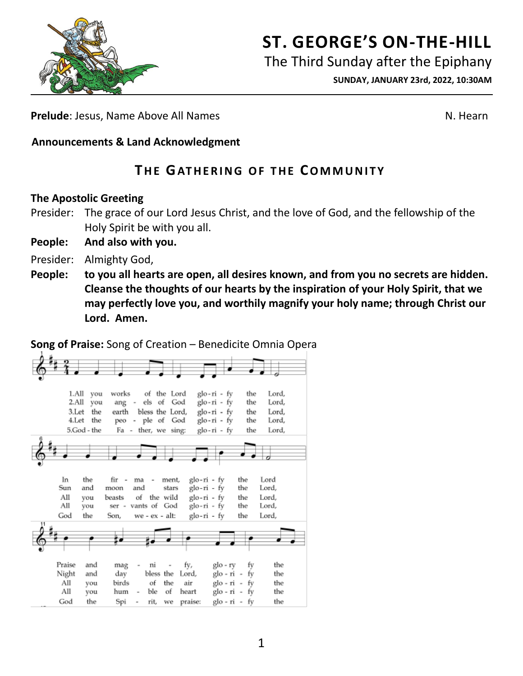

# **ST. GEORGE'S ON-THE-HILL**

The Third Sunday after the Epiphany

**SUNDAY, JANUARY 23rd, 2022, 10:30AM**

**Prelude**: Jesus, Name Above All Names Number of Names N. Hearn

#### **Announcements & Land Acknowledgment**

# **TH E GAT H E R I N G O F T H E CO M M U N I T Y**

#### **The Apostolic Greeting**

- Presider: The grace of our Lord Jesus Christ, and the love of God, and the fellowship of the Holy Spirit be with you all.
- **People: And also with you.**

# Presider: Almighty God,

**People: to you all hearts are open, all desires known, and from you no secrets are hidden. Cleanse the thoughts of our hearts by the inspiration of your Holy Spirit, that we may perfectly love you, and worthily magnify your holy name; through Christ our Lord. Amen.**



**Song of Praise:** Song of Creation – Benedicite Omnia Opera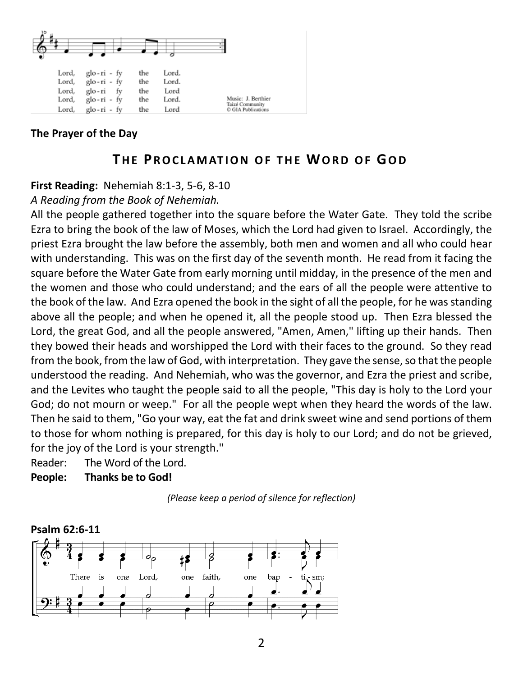

| Lord, | glo-ri - fy  | the | Lord. |
|-------|--------------|-----|-------|
| Lord, | glo-ri - fy  | the | Lord. |
| Lord, | glo-ri<br>fv | the | Lord  |
| Lord, | glo-ri - fy  | the | Lord. |
| Lord, | glo-ri - fy  | the | Lord  |

Music: J. Berthier Taizé Community<br>© GIA Publications

#### **The Prayer of the Day**

# **TH E PR O C L A M AT I O N O F T H E WO R D O F GO D**

# **First Reading:**Nehemiah 8:1-3, 5-6, 8-10

*A Reading from the Book of Nehemiah.*

All the people gathered together into the square before the Water Gate. They told the scribe Ezra to bring the book of the law of Moses, which the Lord had given to Israel. Accordingly, the priest Ezra brought the law before the assembly, both men and women and all who could hear with understanding. This was on the first day of the seventh month. He read from it facing the square before the Water Gate from early morning until midday, in the presence of the men and the women and those who could understand; and the ears of all the people were attentive to the book of the law. And Ezra opened the book in the sight of all the people, for he was standing above all the people; and when he opened it, all the people stood up. Then Ezra blessed the Lord, the great God, and all the people answered, "Amen, Amen," lifting up their hands. Then they bowed their heads and worshipped the Lord with their faces to the ground. So they read from the book, from the law of God, with interpretation. They gave the sense, so that the people understood the reading. And Nehemiah, who was the governor, and Ezra the priest and scribe, and the Levites who taught the people said to all the people, "This day is holy to the Lord your God; do not mourn or weep." For all the people wept when they heard the words of the law. Then he said to them, "Go your way, eat the fat and drink sweet wine and send portions of them to those for whom nothing is prepared, for this day is holy to our Lord; and do not be grieved, for the joy of the Lord is your strength."

Reader: The Word of the Lord.

**People: Thanks be to God!**



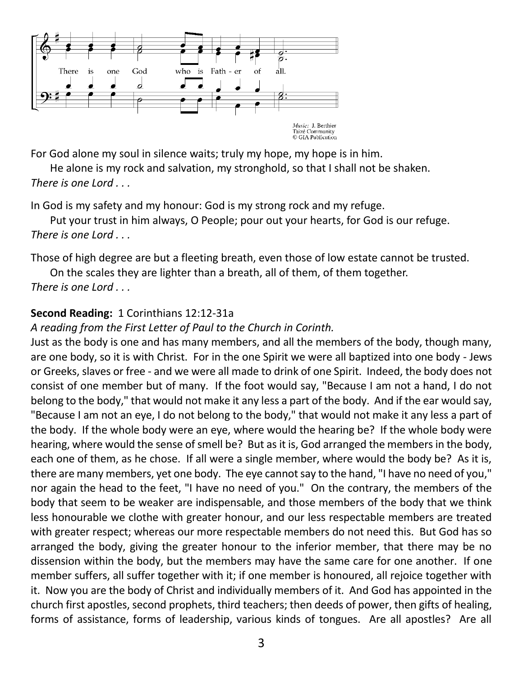

For God alone my soul in silence waits; truly my hope, my hope is in him.

He alone is my rock and salvation, my stronghold, so that I shall not be shaken. *There is one Lord . . .*

In God is my safety and my honour: God is my strong rock and my refuge.

Put your trust in him always, O People; pour out your hearts, for God is our refuge. *There is one Lord . . .*

Those of high degree are but a fleeting breath, even those of low estate cannot be trusted.

On the scales they are lighter than a breath, all of them, of them together.

*There is one Lord . . .*

# **Second Reading:**1 Corinthians 12:12-31a

*A reading from the First Letter of Paul to the Church in Corinth.*

Just as the body is one and has many members, and all the members of the body, though many, are one body, so it is with Christ. For in the one Spirit we were all baptized into one body - Jews or Greeks, slaves or free - and we were all made to drink of one Spirit. Indeed, the body does not consist of one member but of many. If the foot would say, "Because I am not a hand, I do not belong to the body," that would not make it any less a part of the body. And if the ear would say, "Because I am not an eye, I do not belong to the body," that would not make it any less a part of the body. If the whole body were an eye, where would the hearing be? If the whole body were hearing, where would the sense of smell be? But as it is, God arranged the members in the body, each one of them, as he chose. If all were a single member, where would the body be? As it is, there are many members, yet one body. The eye cannot say to the hand, "I have no need of you," nor again the head to the feet, "I have no need of you." On the contrary, the members of the body that seem to be weaker are indispensable, and those members of the body that we think less honourable we clothe with greater honour, and our less respectable members are treated with greater respect; whereas our more respectable members do not need this. But God has so arranged the body, giving the greater honour to the inferior member, that there may be no dissension within the body, but the members may have the same care for one another. If one member suffers, all suffer together with it; if one member is honoured, all rejoice together with it. Now you are the body of Christ and individually members of it. And God has appointed in the church first apostles, second prophets, third teachers; then deeds of power, then gifts of healing, forms of assistance, forms of leadership, various kinds of tongues. Are all apostles? Are all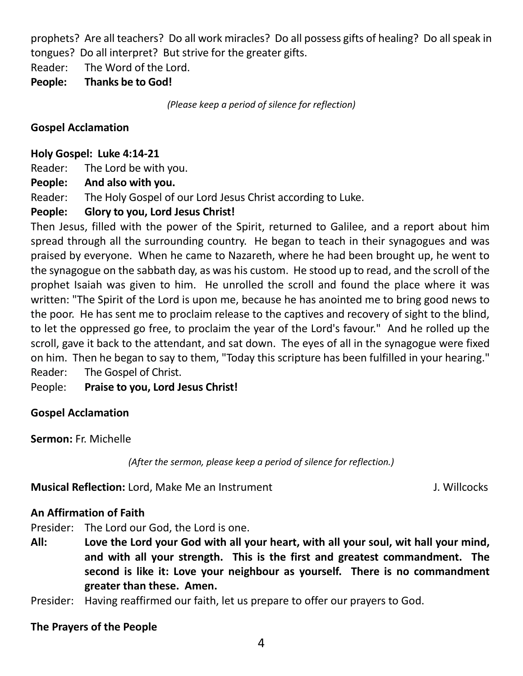prophets? Are all teachers? Do all work miracles? Do all possess gifts of healing? Do all speak in tongues? Do all interpret? But strive for the greater gifts.

Reader: The Word of the Lord.

**People: Thanks be to God!**

*(Please keep a period of silence for reflection)*

#### **Gospel Acclamation**

#### **Holy Gospel: Luke 4:14-21**

Reader: The Lord be with you.

**People: And also with you.**

Reader: The Holy Gospel of our Lord Jesus Christ according to Luke.

# **People: Glory to you, Lord Jesus Christ!**

Then Jesus, filled with the power of the Spirit, returned to Galilee, and a report about him spread through all the surrounding country. He began to teach in their synagogues and was praised by everyone. When he came to Nazareth, where he had been brought up, he went to the synagogue on the sabbath day, as was his custom. He stood up to read, and the scroll of the prophet Isaiah was given to him. He unrolled the scroll and found the place where it was written: "The Spirit of the Lord is upon me, because he has anointed me to bring good news to the poor. He has sent me to proclaim release to the captives and recovery of sight to the blind, to let the oppressed go free, to proclaim the year of the Lord's favour." And he rolled up the scroll, gave it back to the attendant, and sat down. The eyes of all in the synagogue were fixed on him. Then he began to say to them, "Today this scripture has been fulfilled in your hearing." Reader: The Gospel of Christ.

People: **Praise to you, Lord Jesus Christ!**

# **Gospel Acclamation**

**Sermon:** Fr. Michelle

*(After the sermon, please keep a period of silence for reflection.)*

**Musical Reflection:** Lord, Make Me an Instrument J. Willcocks

# **An Affirmation of Faith**

Presider: The Lord our God, the Lord is one.

- **All: Love the Lord your God with all your heart, with all your soul, wit hall your mind, and with all your strength. This is the first and greatest commandment. The second is like it: Love your neighbour as yourself. There is no commandment greater than these. Amen.**
- Presider: Having reaffirmed our faith, let us prepare to offer our prayers to God.

# **The Prayers of the People**